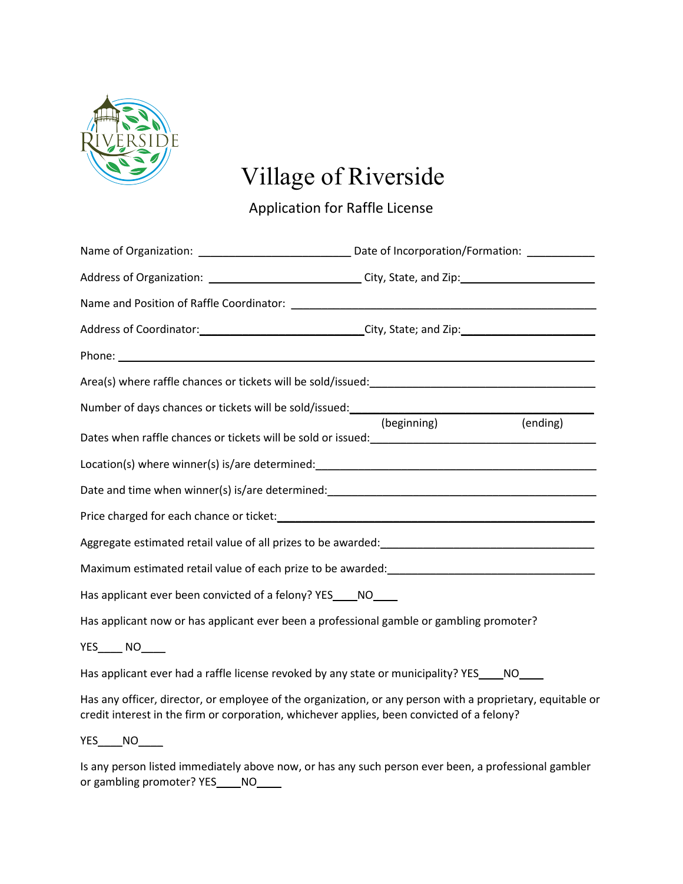

# Village of Riverside

Application for Raffle License

| Address of Organization: _______________________________City, State, and Zip: ______________________                                                                                                                           |  |  |
|--------------------------------------------------------------------------------------------------------------------------------------------------------------------------------------------------------------------------------|--|--|
|                                                                                                                                                                                                                                |  |  |
| Address of Coordinator: _________________________________City, State; and Zip: _______________________________                                                                                                                 |  |  |
|                                                                                                                                                                                                                                |  |  |
|                                                                                                                                                                                                                                |  |  |
| Number of days chances or tickets will be sold/issued: (beginning) (ending)                                                                                                                                                    |  |  |
|                                                                                                                                                                                                                                |  |  |
|                                                                                                                                                                                                                                |  |  |
| Date and time when winner(s) is/are determined: Date and the state of the state of the state of the state of the state of the state of the state of the state of the state of the state of the state of the state of the state |  |  |
|                                                                                                                                                                                                                                |  |  |
|                                                                                                                                                                                                                                |  |  |
| Maximum estimated retail value of each prize to be awarded: National Community of the state of the state of the                                                                                                                |  |  |
| Has applicant ever been convicted of a felony? YES_____NO______                                                                                                                                                                |  |  |
| Has applicant now or has applicant ever been a professional gamble or gambling promoter?                                                                                                                                       |  |  |
| YES NO                                                                                                                                                                                                                         |  |  |
| Has applicant ever had a raffle license revoked by any state or municipality? YES_____ NO_____                                                                                                                                 |  |  |
| Has any officer, director, or employee of the organization, or any person with a proprietary, equitable or<br>credit interest in the firm or corporation, whichever applies, been convicted of a felony?                       |  |  |
| YES NO                                                                                                                                                                                                                         |  |  |
| Is any person listed immediately above now, or has any such person ever been, a professional gambler                                                                                                                           |  |  |

or gambling promoter? YES\_\_\_\_NO\_\_\_\_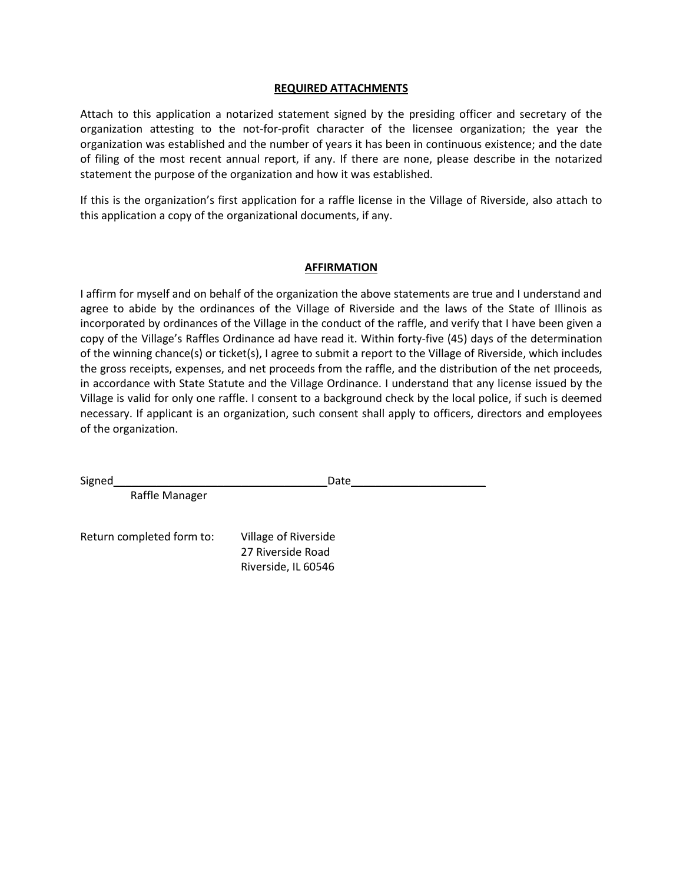#### **REQUIRED ATTACHMENTS**

Attach to this application a notarized statement signed by the presiding officer and secretary of the organization attesting to the not-for-profit character of the licensee organization; the year the organization was established and the number of years it has been in continuous existence; and the date of filing of the most recent annual report, if any. If there are none, please describe in the notarized statement the purpose of the organization and how it was established.

If this is the organization's first application for a raffle license in the Village of Riverside, also attach to this application a copy of the organizational documents, if any.

### **AFFIRMATION**

I affirm for myself and on behalf of the organization the above statements are true and I understand and agree to abide by the ordinances of the Village of Riverside and the laws of the State of Illinois as incorporated by ordinances of the Village in the conduct of the raffle, and verify that I have been given a copy of the Village's Raffles Ordinance ad have read it. Within forty-five (45) days of the determination of the winning chance(s) or ticket(s), I agree to submit a report to the Village of Riverside, which includes the gross receipts, expenses, and net proceeds from the raffle, and the distribution of the net proceeds, in accordance with State Statute and the Village Ordinance. I understand that any license issued by the Village is valid for only one raffle. I consent to a background check by the local police, if such is deemed necessary. If applicant is an organization, such consent shall apply to officers, directors and employees of the organization.

| Signed                    | Date                                                             |  |
|---------------------------|------------------------------------------------------------------|--|
| Raffle Manager            |                                                                  |  |
| Return completed form to: | Village of Riverside<br>27 Riverside Road<br>Riverside, IL 60546 |  |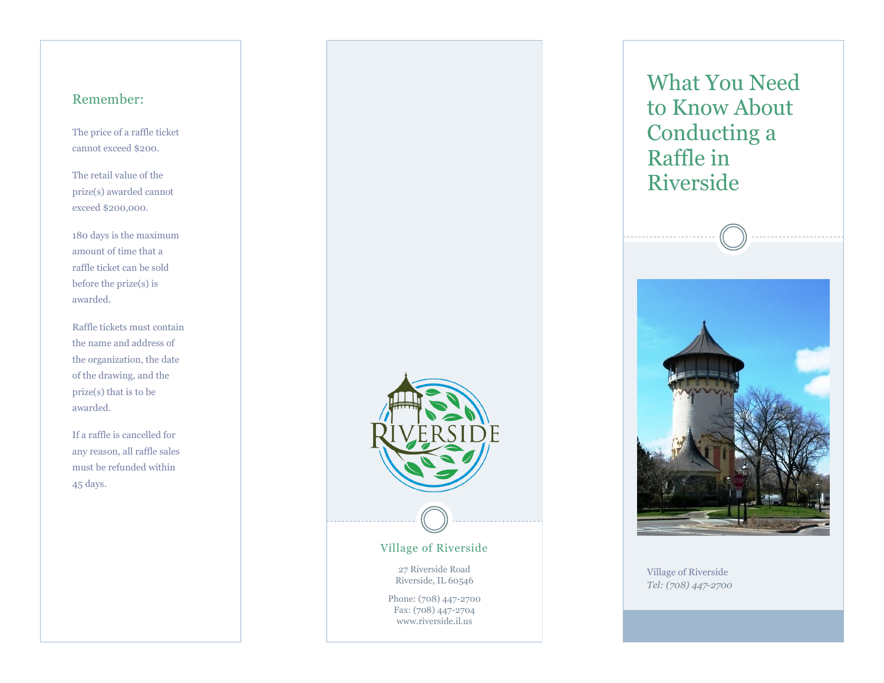### Remember:

The price of a raffle ticket cannot exceed \$200.

The retail value of the prize(s) awarded cannot exceed \$200,000.

180 days is the maximum amount of time that a raffle ticket can be sold before the prize(s) is awarded.

Raffle tickets must contain the name and address of the organization, the date of the drawing, and the prize(s) that is to be awarded.

If a raffle is cancelled for any reason, all raffle sales must be refunded within 45 days.



What You Need to Know About Conducting a Raffle in Riverside



Village of Riverside *Tel: (708) 447-2700*